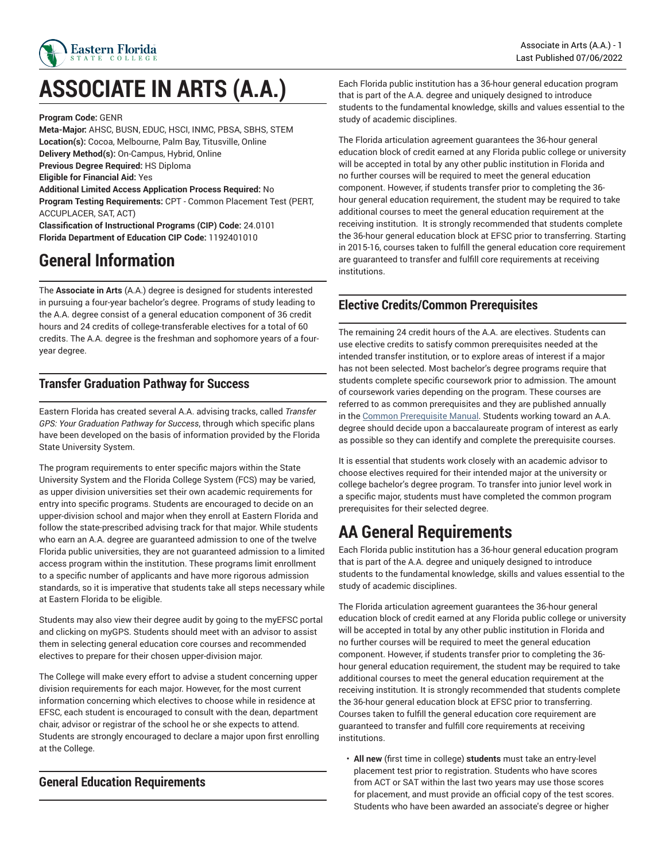

# **ASSOCIATE IN ARTS (A.A.)**

**Program Code:** GENR

**Meta-Major:** AHSC, BUSN, EDUC, HSCI, INMC, PBSA, SBHS, STEM **Location(s):** Cocoa, Melbourne, Palm Bay, Titusville, Online **Delivery Method(s):** On-Campus, Hybrid, Online **Previous Degree Required:** HS Diploma **Eligible for Financial Aid:** Yes **Additional Limited Access Application Process Required:** No **Program Testing Requirements:** CPT - Common Placement Test (PERT, ACCUPLACER, SAT, ACT)

**Classification of Instructional Programs (CIP) Code:** 24.0101 **Florida Department of Education CIP Code:** 1192401010

## **General Information**

The **Associate in Arts** (A.A.) degree is designed for students interested in pursuing a four-year bachelor's degree. Programs of study leading to the A.A. degree consist of a general education component of 36 credit hours and 24 credits of college-transferable electives for a total of 60 credits. The A.A. degree is the freshman and sophomore years of a fouryear degree.

## **Transfer Graduation Pathway for Success**

Eastern Florida has created several A.A. advising tracks, called *Transfer GPS: Your Graduation Pathway for Success*, through which specific plans have been developed on the basis of information provided by the Florida State University System.

The program requirements to enter specific majors within the State University System and the Florida College System (FCS) may be varied, as upper division universities set their own academic requirements for entry into specific programs. Students are encouraged to decide on an upper-division school and major when they enroll at Eastern Florida and follow the state-prescribed advising track for that major. While students who earn an A.A. degree are guaranteed admission to one of the twelve Florida public universities, they are not guaranteed admission to a limited access program within the institution. These programs limit enrollment to a specific number of applicants and have more rigorous admission standards, so it is imperative that students take all steps necessary while at Eastern Florida to be eligible.

Students may also view their degree audit by going to the myEFSC portal and clicking on myGPS. Students should meet with an advisor to assist them in selecting general education core courses and recommended electives to prepare for their chosen upper-division major.

The College will make every effort to advise a student concerning upper division requirements for each major. However, for the most current information concerning which electives to choose while in residence at EFSC, each student is encouraged to consult with the dean, department chair, advisor or registrar of the school he or she expects to attend. Students are strongly encouraged to declare a major upon first enrolling at the College.

## **General Education Requirements**

Each Florida public institution has a 36-hour general education program that is part of the A.A. degree and uniquely designed to introduce students to the fundamental knowledge, skills and values essential to the study of academic disciplines.

The Florida articulation agreement guarantees the 36-hour general education block of credit earned at any Florida public college or university will be accepted in total by any other public institution in Florida and no further courses will be required to meet the general education component. However, if students transfer prior to completing the 36 hour general education requirement, the student may be required to take additional courses to meet the general education requirement at the receiving institution. It is strongly recommended that students complete the 36-hour general education block at EFSC prior to transferring. Starting in 2015-16, courses taken to fulfill the general education core requirement are guaranteed to transfer and fulfill core requirements at receiving institutions.

## **Elective Credits/Common Prerequisites**

The remaining 24 credit hours of the A.A. are electives. Students can use elective credits to satisfy common prerequisites needed at the intended transfer institution, or to explore areas of interest if a major has not been selected. Most bachelor's degree programs require that students complete specific coursework prior to admission. The amount of coursework varies depending on the program. These courses are referred to as common prerequisites and they are published annually in the Common [Prerequisite](https://www.floridashines.org/succeed-in-college/plan-your-path/common-prerequisites/) Manual. Students working toward an A.A. degree should decide upon a baccalaureate program of interest as early as possible so they can identify and complete the prerequisite courses.

It is essential that students work closely with an academic advisor to choose electives required for their intended major at the university or college bachelor's degree program. To transfer into junior level work in a specific major, students must have completed the common program prerequisites for their selected degree.

## **AA General Requirements**

Each Florida public institution has a 36-hour general education program that is part of the A.A. degree and uniquely designed to introduce students to the fundamental knowledge, skills and values essential to the study of academic disciplines.

The Florida articulation agreement guarantees the 36-hour general education block of credit earned at any Florida public college or university will be accepted in total by any other public institution in Florida and no further courses will be required to meet the general education component. However, if students transfer prior to completing the 36 hour general education requirement, the student may be required to take additional courses to meet the general education requirement at the receiving institution. It is strongly recommended that students complete the 36-hour general education block at EFSC prior to transferring. Courses taken to fulfill the general education core requirement are guaranteed to transfer and fulfill core requirements at receiving institutions.

• **All new** (first time in college) **students** must take an entry-level placement test prior to registration. Students who have scores from ACT or SAT within the last two years may use those scores for placement, and must provide an official copy of the test scores. Students who have been awarded an associate's degree or higher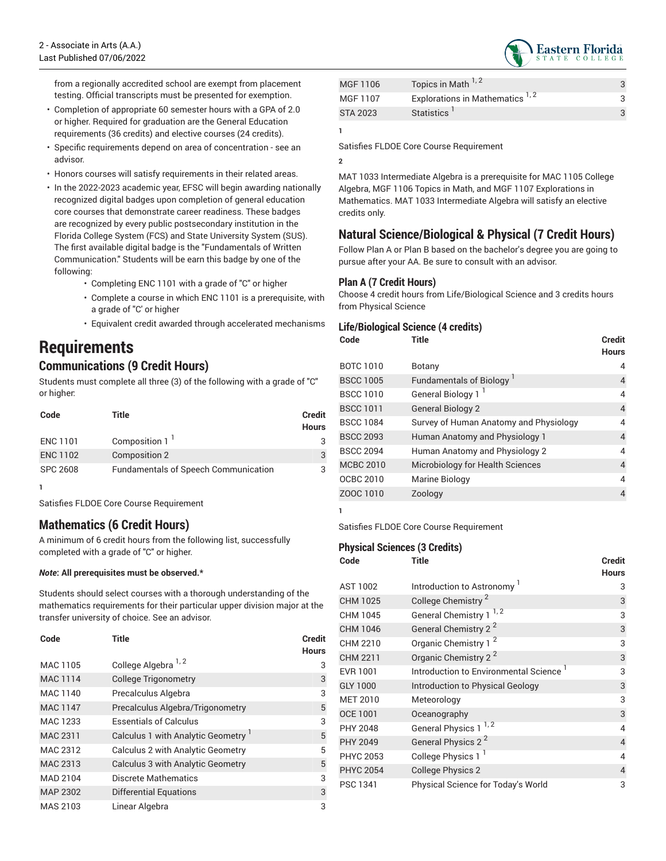from a regionally accredited school are exempt from placement testing. Official transcripts must be presented for exemption.

- Completion of appropriate 60 semester hours with a GPA of 2.0 or higher. Required for graduation are the General Education requirements (36 credits) and elective courses (24 credits).
- Specific requirements depend on area of concentration see an advisor.
- Honors courses will satisfy requirements in their related areas.
- In the 2022-2023 academic year, EFSC will begin awarding nationally recognized digital badges upon completion of general education core courses that demonstrate career readiness. These badges are recognized by every public postsecondary institution in the Florida College System (FCS) and State University System (SUS). The first available digital badge is the "Fundamentals of Written Communication." Students will be earn this badge by one of the following:
	- Completing ENC 1101 with a grade of "C" or higher
	- Complete a course in which ENC 1101 is a prerequisite, with a grade of "C' or higher
	- Equivalent credit awarded through accelerated mechanisms

## **Requirements**

## **Communications (9 Credit Hours)**

Students must complete all three (3) of the following with a grade of "C" or higher:

| Code            | Title                                       | <b>Credit</b><br><b>Hours</b> |
|-----------------|---------------------------------------------|-------------------------------|
| <b>ENC 1101</b> | Composition 1                               | 3                             |
| <b>ENC 1102</b> | Composition 2                               | 3                             |
| <b>SPC 2608</b> | <b>Fundamentals of Speech Communication</b> |                               |
|                 |                                             |                               |

Satisfies FLDOE Core Course Requirement

## **Mathematics (6 Credit Hours)**

A minimum of 6 credit hours from the following list, successfully completed with a grade of "C" or higher.

#### *Note***: All prerequisites must be observed.\***

Students should select courses with a thorough understanding of the mathematics requirements for their particular upper division major at the transfer university of choice. See an advisor.

| Code            | <b>Title</b>                             | <b>Credit</b><br><b>Hours</b> |
|-----------------|------------------------------------------|-------------------------------|
| MAC 1105        | College Algebra 1, 2                     | 3                             |
| <b>MAC 1114</b> | <b>College Trigonometry</b>              | 3                             |
| MAC 1140        | Precalculus Algebra                      | 3                             |
| <b>MAC 1147</b> | Precalculus Algebra/Trigonometry         | 5                             |
| MAC 1233        | <b>Essentials of Calculus</b>            | 3                             |
| MAC 2311        | Calculus 1 with Analytic Geometry        | 5                             |
| MAC 2312        | Calculus 2 with Analytic Geometry        | 5                             |
| MAC 2313        | <b>Calculus 3 with Analytic Geometry</b> | 5                             |
| <b>MAD 2104</b> | Discrete Mathematics                     | 3                             |
| <b>MAP 2302</b> | Differential Equations                   | 3                             |
| MAS 2103        | Linear Algebra                           | 3                             |

| MGF 1106        | Topics in Math 1,2                         |  |
|-----------------|--------------------------------------------|--|
| MGF 1107        | Explorations in Mathematics <sup>1,2</sup> |  |
| <b>STA 2023</b> | Statistics <sup>1</sup>                    |  |

**1**

Satisfies FLDOE Core Course Requirement

**2**

MAT 1033 Intermediate Algebra is a prerequisite for MAC 1105 College Algebra, MGF 1106 Topics in Math, and MGF 1107 Explorations in Mathematics. MAT 1033 Intermediate Algebra will satisfy an elective credits only.

## **Natural Science/Biological & Physical (7 Credit Hours)**

Follow Plan A or Plan B based on the bachelor's degree you are going to pursue after your AA. Be sure to consult with an advisor.

#### **Plan A (7 Credit Hours)**

Choose 4 credit hours from Life/Biological Science and 3 credits hours from Physical Science

#### **Life/Biological Science (4 credits)**

| Code             | <b>Title</b>                           | <b>Credit</b><br><b>Hours</b> |
|------------------|----------------------------------------|-------------------------------|
| <b>BOTC 1010</b> | Botany                                 | 4                             |
| <b>BSCC 1005</b> | <b>Fundamentals of Biology</b>         | 4                             |
| <b>BSCC 1010</b> | General Biology 1 <sup>1</sup>         | 4                             |
| <b>BSCC 1011</b> | <b>General Biology 2</b>               | $\overline{4}$                |
| <b>BSCC 1084</b> | Survey of Human Anatomy and Physiology | 4                             |
| <b>BSCC 2093</b> | Human Anatomy and Physiology 1         | $\overline{4}$                |
| <b>BSCC 2094</b> | Human Anatomy and Physiology 2         | $\overline{4}$                |
| <b>MCBC 2010</b> | Microbiology for Health Sciences       | $\overline{4}$                |
| OCBC 2010        | Marine Biology                         | $\overline{4}$                |
| ZOOC 1010        | Zoology                                | 4                             |

**1**

Satisfies FLDOE Core Course Requirement

#### **Physical Sciences (3 Credits)**

| Code             | Title                                              | Credit<br><b>Hours</b> |
|------------------|----------------------------------------------------|------------------------|
| <b>AST 1002</b>  | Introduction to Astronomy <sup>1</sup>             | 3                      |
| <b>CHM 1025</b>  | College Chemistry <sup>2</sup>                     | 3                      |
| CHM 1045         | 1, 2<br><b>General Chemistry 1</b>                 | 3                      |
| <b>CHM 1046</b>  | General Chemistry 2 <sup>2</sup>                   | 3                      |
| CHM 2210         | Organic Chemistry 1 <sup>2</sup>                   | 3                      |
| <b>CHM 2211</b>  | Organic Chemistry 2 <sup>2</sup>                   | 3                      |
| EVR 1001         | Introduction to Environmental Science <sup>1</sup> | 3                      |
| <b>GLY 1000</b>  | Introduction to Physical Geology                   | 3                      |
| <b>MET 2010</b>  | Meteorology                                        | 3                      |
| <b>OCE 1001</b>  | Oceanography                                       | 3                      |
| PHY 2048         | General Physics 1 <sup>1,2</sup>                   | 4                      |
| <b>PHY 2049</b>  | General Physics 2 <sup>2</sup>                     | $\overline{4}$         |
| PHYC 2053        | College Physics 1 <sup>1</sup>                     | 4                      |
| <b>PHYC 2054</b> | <b>College Physics 2</b>                           | 4                      |
| <b>PSC 1341</b>  | Physical Science for Today's World                 | 3                      |

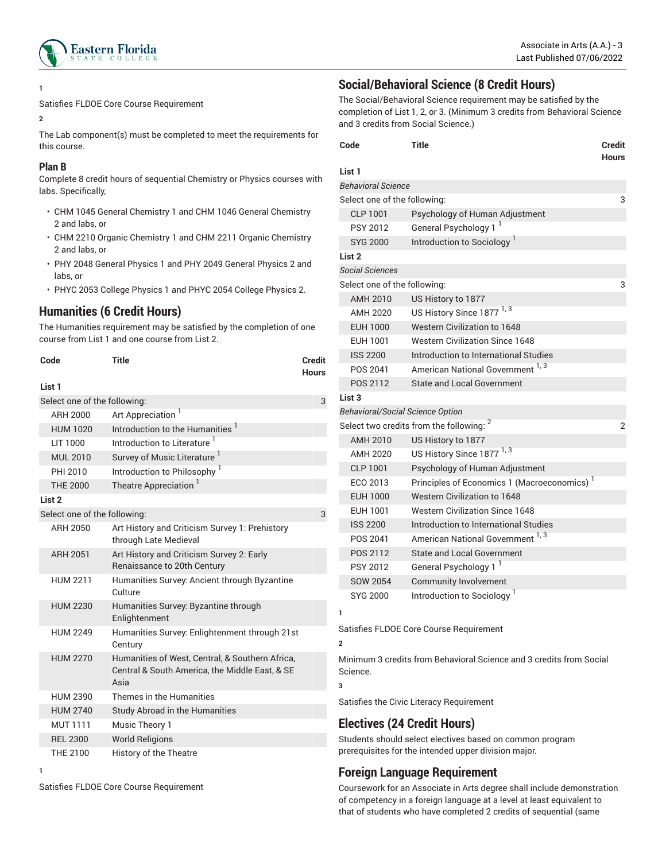

#### **1**

Satisfies FLDOE Core Course Requirement

#### **2**

The Lab component(s) must be completed to meet the requirements for this course.

#### **Plan B**

Complete 8 credit hours of sequential Chemistry or Physics courses with labs. Specifically,

- CHM 1045 General Chemistry 1 and CHM 1046 General Chemistry 2 and labs, or
- CHM 2210 Organic Chemistry 1 and CHM 2211 Organic Chemistry 2 and labs, or
- PHY 2048 General Physics 1 and PHY 2049 General Physics 2 and labs, or
- PHYC 2053 College Physics 1 and PHYC 2054 College Physics 2.

### **Humanities (6 Credit Hours)**

The Humanities requirement may be satisfied by the completion of one course from List 1 and one course from List 2.

| Code                         | Title                                                                                                     | Credit<br>Hours |
|------------------------------|-----------------------------------------------------------------------------------------------------------|-----------------|
| List 1                       |                                                                                                           |                 |
| Select one of the following: |                                                                                                           | 3               |
| ARH 2000                     | Art Appreciation <sup>1</sup>                                                                             |                 |
| <b>HUM 1020</b>              | Introduction to the Humanities <sup>1</sup>                                                               |                 |
| LIT 1000                     | Introduction to Literature <sup>1</sup>                                                                   |                 |
| <b>MUL 2010</b>              | Survey of Music Literature <sup>1</sup>                                                                   |                 |
| PHI 2010                     | Introduction to Philosophy <sup>1</sup>                                                                   |                 |
| <b>THE 2000</b>              | Theatre Appreciation                                                                                      |                 |
| List <sub>2</sub>            |                                                                                                           |                 |
| Select one of the following: |                                                                                                           | 3               |
| ARH 2050                     | Art History and Criticism Survey 1: Prehistory<br>through Late Medieval                                   |                 |
| <b>ARH 2051</b>              | Art History and Criticism Survey 2: Early<br>Renaissance to 20th Century                                  |                 |
| <b>HUM 2211</b>              | Humanities Survey: Ancient through Byzantine<br>Culture                                                   |                 |
| <b>HUM 2230</b>              | Humanities Survey. Byzantine through<br>Enlightenment                                                     |                 |
| <b>HUM 2249</b>              | Humanities Survey: Enlightenment through 21st<br>Century                                                  |                 |
| <b>HUM 2270</b>              | Humanities of West, Central, & Southern Africa,<br>Central & South America, the Middle East, & SE<br>Asia |                 |
| <b>HUM 2390</b>              | Themes in the Humanities                                                                                  |                 |
| <b>HUM 2740</b>              | Study Abroad in the Humanities                                                                            |                 |
| <b>MUT 1111</b>              | Music Theory 1                                                                                            |                 |
| <b>REL 2300</b>              | <b>World Religions</b>                                                                                    |                 |
| THE 2100                     | <b>History of the Theatre</b>                                                                             |                 |

#### **1**

Satisfies FLDOE Core Course Requirement

## **Social/Behavioral Science (8 Credit Hours)**

The Social/Behavioral Science requirement may be satisfied by the completion of List 1, 2, or 3. (Minimum 3 credits from Behavioral Science and 3 credits from Social Science.)

| Code                                                |                                         | <b>Title</b>                                            | <b>Credit</b><br><b>Hours</b> |  |
|-----------------------------------------------------|-----------------------------------------|---------------------------------------------------------|-------------------------------|--|
| List 1                                              |                                         |                                                         |                               |  |
|                                                     | <b>Behavioral Science</b>               |                                                         |                               |  |
|                                                     | Select one of the following:            |                                                         | 3                             |  |
|                                                     | <b>CLP 1001</b>                         | Psychology of Human Adjustment                          |                               |  |
|                                                     | <b>PSY 2012</b>                         | General Psychology 1 <sup>1</sup>                       |                               |  |
|                                                     | <b>SYG 2000</b>                         | Introduction to Sociology <sup>1</sup>                  |                               |  |
| List <sub>2</sub>                                   |                                         |                                                         |                               |  |
|                                                     | <b>Social Sciences</b>                  |                                                         |                               |  |
|                                                     | Select one of the following:            |                                                         | 3                             |  |
|                                                     | <b>AMH 2010</b>                         | US History to 1877                                      |                               |  |
|                                                     | <b>AMH 2020</b>                         | US History Since 1877 <sup>1, 3</sup>                   |                               |  |
|                                                     | <b>EUH 1000</b>                         | Western Civilization to 1648                            |                               |  |
|                                                     | EUH 1001                                | <b>Western Civilization Since 1648</b>                  |                               |  |
|                                                     | <b>ISS 2200</b>                         | Introduction to International Studies                   |                               |  |
|                                                     | POS 2041                                | American National Government <sup>1,3</sup>             |                               |  |
|                                                     | POS 2112                                | State and Local Government                              |                               |  |
| List <sub>3</sub>                                   |                                         |                                                         |                               |  |
|                                                     | <b>Behavioral/Social Science Option</b> |                                                         |                               |  |
| Select two credits from the following: <sup>2</sup> |                                         |                                                         | $\overline{2}$                |  |
|                                                     | AMH 2010                                | US History to 1877                                      |                               |  |
|                                                     | AMH 2020                                | US History Since 1877 <sup>1,3</sup>                    |                               |  |
|                                                     | <b>CLP 1001</b>                         | Psychology of Human Adjustment                          |                               |  |
|                                                     | ECO 2013                                | Principles of Economics 1 (Macroeconomics) <sup>1</sup> |                               |  |
|                                                     | <b>EUH 1000</b>                         | Western Civilization to 1648                            |                               |  |
|                                                     | <b>EUH 1001</b>                         | <b>Western Civilization Since 1648</b>                  |                               |  |
|                                                     | <b>ISS 2200</b>                         | Introduction to International Studies                   |                               |  |
|                                                     | POS 2041                                | American National Government <sup>1,3</sup>             |                               |  |
|                                                     | POS 2112                                | <b>State and Local Government</b>                       |                               |  |
|                                                     | <b>PSY 2012</b>                         | General Psychology 1                                    |                               |  |
|                                                     | <b>SOW 2054</b>                         | Community Involvement                                   |                               |  |
|                                                     | SYG 2000                                | Introduction to Sociology <sup>1</sup>                  |                               |  |
| 1                                                   |                                         |                                                         |                               |  |
|                                                     |                                         | Satisfies FLDOE Core Course Requirement                 |                               |  |
| $\mathfrak{p}$                                      |                                         |                                                         |                               |  |

Minimum 3 credits from Behavioral Science and 3 credits from Social Science.

#### **3**

Satisfies the Civic Literacy Requirement

## **Electives (24 Credit Hours)**

Students should select electives based on common program prerequisites for the intended upper division major.

#### **Foreign Language Requirement**

Coursework for an Associate in Arts degree shall include demonstration of competency in a foreign language at a level at least equivalent to that of students who have completed 2 credits of sequential (same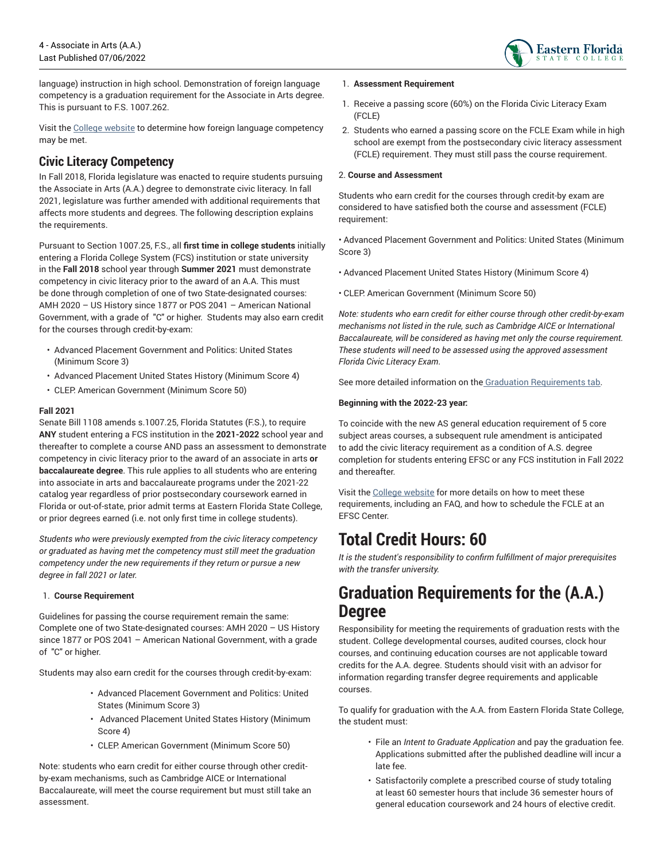

language) instruction in high school. Demonstration of foreign language competency is a graduation requirement for the Associate in Arts degree. This is pursuant to F.S. 1007.262.

Visit the [College website](https://www.easternflorida.edu/academics/degrees-certifications/aa-associate-in-arts/foreign-language-competency.cfm) to determine how foreign language competency may be met.

## **Civic Literacy Competency**

In Fall 2018, Florida legislature was enacted to require students pursuing the Associate in Arts (A.A.) degree to demonstrate civic literacy. In fall 2021, legislature was further amended with additional requirements that affects more students and degrees. The following description explains the requirements.

Pursuant to Section 1007.25, F.S., all **first time in college students** initially entering a Florida College System (FCS) institution or state university in the **Fall 2018** school year through **Summer 2021** must demonstrate competency in civic literacy prior to the award of an A.A. This must be done through completion of one of two State-designated courses: AMH 2020 – US History since 1877 or POS 2041 – American National Government, with a grade of "C" or higher. Students may also earn credit for the courses through credit-by-exam:

- Advanced Placement Government and Politics: United States (Minimum Score 3)
- Advanced Placement United States History (Minimum Score 4)
- CLEP: American Government (Minimum Score 50)

#### **Fall 2021**

Senate Bill 1108 amends s.1007.25, Florida Statutes (F.S.), to require **ANY** student entering a FCS institution in the **2021-2022** school year and thereafter to complete a course AND pass an assessment to demonstrate competency in civic literacy prior to the award of an associate in arts **or baccalaureate degree**. This rule applies to all students who are entering into associate in arts and baccalaureate programs under the 2021-22 catalog year regardless of prior postsecondary coursework earned in Florida or out-of-state, prior admit terms at Eastern Florida State College, or prior degrees earned (i.e. not only first time in college students).

*Students who were previously exempted from the civic literacy competency or graduated as having met the competency must still meet the graduation competency under the new requirements if they return or pursue a new degree in fall 2021 or later.*

#### 1. **Course Requirement**

Guidelines for passing the course requirement remain the same: Complete one of two State-designated courses: AMH 2020 – US History since 1877 or POS 2041 – American National Government, with a grade of "C" or higher.

Students may also earn credit for the courses through credit-by-exam:

- Advanced Placement Government and Politics: United States (Minimum Score 3)
- Advanced Placement United States History (Minimum Score 4)
- CLEP: American Government (Minimum Score 50)

Note: students who earn credit for either course through other creditby-exam mechanisms, such as Cambridge AICE or International Baccalaureate, will meet the course requirement but must still take an assessment.

#### 1. **Assessment Requirement**

- 1. Receive a passing score (60%) on the Florida Civic Literacy Exam (FCLE)
- 2. Students who earned a passing score on the FCLE Exam while in high school are exempt from the postsecondary civic literacy assessment (FCLE) requirement. They must still pass the course requirement.

#### 2. **Course and Assessment**

Students who earn credit for the courses through credit-by exam are considered to have satisfied both the course and assessment (FCLE) requirement:

• Advanced Placement Government and Politics: United States (Minimum Score 3)

- Advanced Placement United States History (Minimum Score 4)
- CLEP: American Government (Minimum Score 50)

*Note: students who earn credit for either course through other credit-by-exam mechanisms not listed in the rule, such as Cambridge AICE or International Baccalaureate, will be considered as having met only the course requirement. These students will need to be assessed using the approved assessment Florida Civic Literacy Exam*.

See more detailed information on the Graduation [Requirements](#page-3-0) tab.

#### **Beginning with the 2022-23 year:**

To coincide with the new AS general education requirement of 5 core subject areas courses, a subsequent rule amendment is anticipated to add the civic literacy requirement as a condition of A.S. degree completion for students entering EFSC or any FCS institution in Fall 2022 and thereafter.

Visit the [College website](https://www.easternflorida.edu/academics/civic-literacy/) for more details on how to meet these requirements, including an FAQ, and how to schedule the FCLE at an EFSC Center.

## **Total Credit Hours: 60**

*It is the student's responsibility to confirm fulfillment of major prerequisites with the transfer university.*

## <span id="page-3-0"></span>**Graduation Requirements for the (A.A.) Degree**

Responsibility for meeting the requirements of graduation rests with the student. College developmental courses, audited courses, clock hour courses, and continuing education courses are not applicable toward credits for the A.A. degree. Students should visit with an advisor for information regarding transfer degree requirements and applicable courses.

To qualify for graduation with the A.A. from Eastern Florida State College, the student must:

- File an *Intent to Graduate Application* and pay the graduation fee. Applications submitted after the published deadline will incur a late fee.
- Satisfactorily complete a prescribed course of study totaling at least 60 semester hours that include 36 semester hours of general education coursework and 24 hours of elective credit.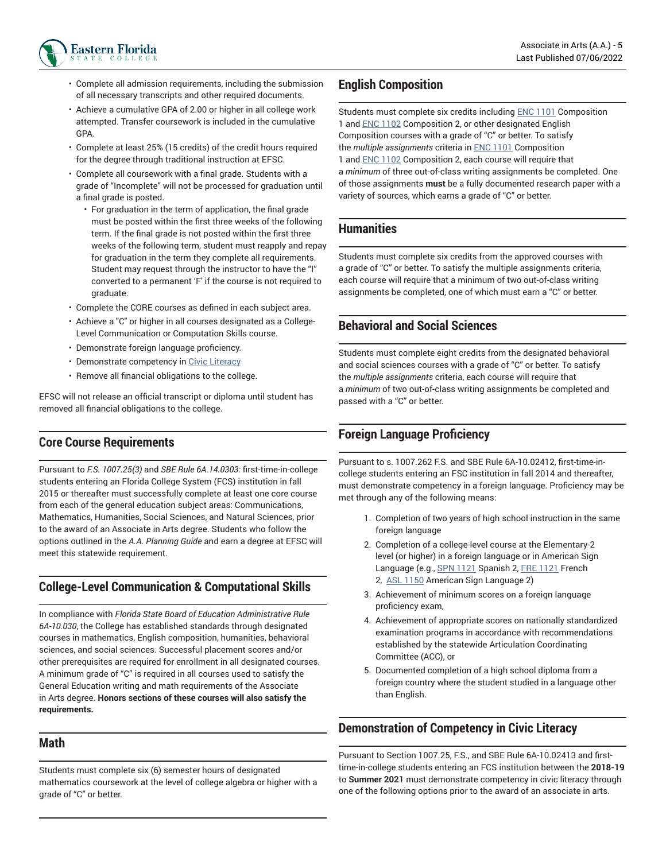

- Complete all admission requirements, including the submission of all necessary transcripts and other required documents.
- Achieve a cumulative GPA of 2.00 or higher in all college work attempted. Transfer coursework is included in the cumulative GPA.
- Complete at least 25% (15 credits) of the credit hours required for the degree through traditional instruction at EFSC.
- Complete all coursework with a final grade. Students with a grade of "Incomplete" will not be processed for graduation until a final grade is posted.
	- For graduation in the term of application, the final grade must be posted within the first three weeks of the following term. If the final grade is not posted within the first three weeks of the following term, student must reapply and repay for graduation in the term they complete all requirements. Student may request through the instructor to have the "I" converted to a permanent 'F' if the course is not required to graduate.
- Complete the CORE courses as defined in each subject area.
- Achieve a "C" or higher in all courses designated as a College-Level Communication or Computation Skills course.
- Demonstrate foreign language proficiency.
- Demonstrate competency in [Civic Literacy](#page-4-0)
- Remove all financial obligations to the college.

EFSC will not release an official transcript or diploma until student has removed all financial obligations to the college.

### **Core Course Requirements**

Pursuant to *F.S. 1007.25(3)* and *SBE Rule 6A.14.0303:* first-time-in-college students entering an Florida College System (FCS) institution in fall 2015 or thereafter must successfully complete at least one core course from each of the general education subject areas: Communications, Mathematics, Humanities, Social Sciences, and Natural Sciences, prior to the award of an Associate in Arts degree. Students who follow the options outlined in the *A.A. Planning Guide* and earn a degree at EFSC will meet this statewide requirement.

## **College-Level Communication & Computational Skills**

In compliance with *Florida State Board of Education Administrative Rule 6A-10.030*, the College has established standards through designated courses in mathematics, English composition, humanities, behavioral sciences, and social sciences. Successful placement scores and/or other prerequisites are required for enrollment in all designated courses. A minimum grade of "C" is required in all courses used to satisfy the General Education writing and math requirements of the Associate in Arts degree. **Honors sections of these courses will also satisfy the requirements.**

## **Math**

Students must complete six (6) semester hours of designated mathematics coursework at the level of college algebra or higher with a grade of "C" or better.

## **English Composition**

Students must complete six credits including [ENC 1101](/search/?P=ENC%201101) Composition 1 and [ENC 1102](/search/?P=ENC%201102) Composition 2, or other designated English Composition courses with a grade of "C" or better. To satisfy the *multiple assignments* criteria in [ENC 1101](/search/?P=ENC%201101) Composition 1 and [ENC 1102](/search/?P=ENC%201102) Composition 2, each course will require that a *minimum* of three out-of-class writing assignments be completed. One of those assignments **must** be a fully documented research paper with a variety of sources, which earns a grade of "C" or better.

### **Humanities**

Students must complete six credits from the approved courses with a grade of "C" or better. To satisfy the multiple assignments criteria, each course will require that a minimum of two out-of-class writing assignments be completed, one of which must earn a "C" or better.

## **Behavioral and Social Sciences**

Students must complete eight credits from the designated behavioral and social sciences courses with a grade of "C" or better. To satisfy the *multiple assignments* criteria, each course will require that a *minimum* of two out-of-class writing assignments be completed and passed with a "C" or better.

## **Foreign Language Proficiency**

Pursuant to s. 1007.262 F.S. and SBE Rule 6A-10.02412, first-time-incollege students entering an FSC institution in fall 2014 and thereafter, must demonstrate competency in a foreign language. Proficiency may be met through any of the following means:

- 1. Completion of two years of high school instruction in the same foreign language
- 2. Completion of a college-level course at the Elementary-2 level (or higher) in a foreign language or in American Sign Language (e.g., [SPN 1121](/search/?P=SPN%201121) Spanish 2, [FRE 1121](/search/?P=FRE%201121) French 2, [ASL 1150](/search/?P=ASL%201150) American Sign Language 2)
- 3. Achievement of minimum scores on a foreign language proficiency exam,
- 4. Achievement of appropriate scores on nationally standardized examination programs in accordance with recommendations established by the statewide Articulation Coordinating Committee (ACC), or
- 5. Documented completion of a high school diploma from a foreign country where the student studied in a language other than English.

## <span id="page-4-0"></span>**Demonstration of Competency in Civic Literacy**

Pursuant to Section 1007.25, F.S., and SBE Rule 6A-10.02413 and firsttime-in-college students entering an FCS institution between the **2018-19** to **Summer 2021** must demonstrate competency in civic literacy through one of the following options prior to the award of an associate in arts.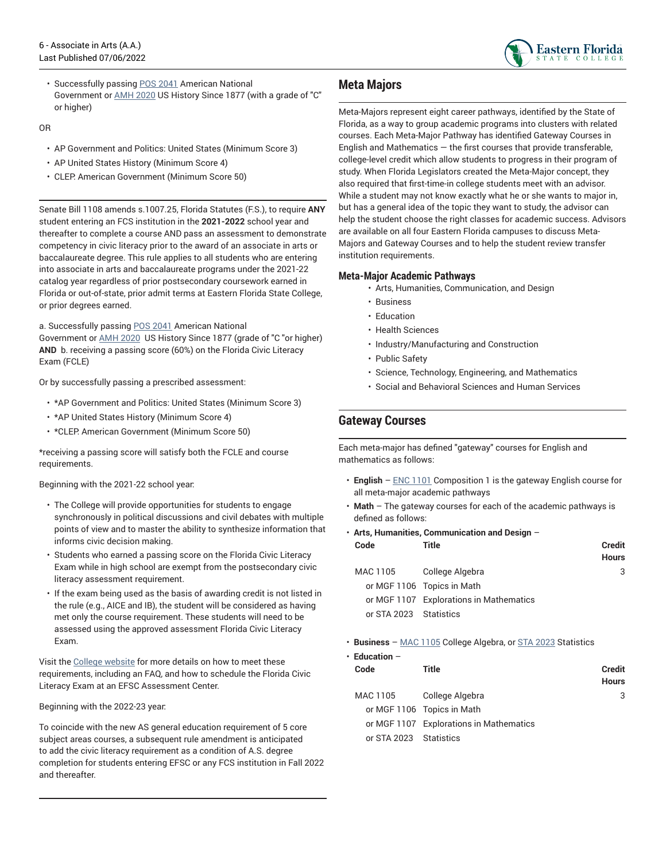

• Successfully passing [POS 2041](/search/?P=POS%202041) American National Government or [AMH 2020](/search/?P=AMH%202020) US History Since 1877 (with a grade of "C" or higher)

OR

- AP Government and Politics: United States (Minimum Score 3)
- AP United States History (Minimum Score 4)
- CLEP: American Government (Minimum Score 50)

Senate Bill 1108 amends s.1007.25, Florida Statutes (F.S.), to require **ANY** student entering an FCS institution in the **2021-2022** school year and thereafter to complete a course AND pass an assessment to demonstrate competency in civic literacy prior to the award of an associate in arts or baccalaureate degree. This rule applies to all students who are entering into associate in arts and baccalaureate programs under the 2021-22 catalog year regardless of prior postsecondary coursework earned in Florida or out-of-state, prior admit terms at Eastern Florida State College, or prior degrees earned.

a. Successfully passing [POS 2041](/search/?P=POS%202041) American National

Government or [AMH 2020](/search/?P=AMH%202020) US History Since 1877 (grade of "C "or higher) **AND** b. receiving a passing score (60%) on the Florida Civic Literacy Exam (FCLE)

Or by successfully passing a prescribed assessment:

- \*AP Government and Politics: United States (Minimum Score 3)
- \*AP United States History (Minimum Score 4)
- \*CLEP: American Government (Minimum Score 50)

\*receiving a passing score will satisfy both the FCLE and course requirements.

Beginning with the 2021-22 school year:

- The College will provide opportunities for students to engage synchronously in political discussions and civil debates with multiple points of view and to master the ability to synthesize information that informs civic decision making.
- Students who earned a passing score on the Florida Civic Literacy Exam while in high school are exempt from the postsecondary civic literacy assessment requirement.
- If the exam being used as the basis of awarding credit is not listed in the rule (e.g., AICE and IB), the student will be considered as having met only the course requirement. These students will need to be assessed using the approved assessment Florida Civic Literacy Exam.

Visit the [College website](https://www.easternflorida.edu/academics/civic-literacy/) for more details on how to meet these requirements, including an FAQ, and how to schedule the Florida Civic Literacy Exam at an EFSC Assessment Center.

Beginning with the 2022-23 year:

To coincide with the new AS general education requirement of 5 core subject areas courses, a subsequent rule amendment is anticipated to add the civic literacy requirement as a condition of A.S. degree completion for students entering EFSC or any FCS institution in Fall 2022 and thereafter.

## **Meta Majors**

Meta-Majors represent eight career pathways, identified by the State of Florida, as a way to group academic programs into clusters with related courses. Each Meta-Major Pathway has identified Gateway Courses in English and Mathematics  $-$  the first courses that provide transferable, college-level credit which allow students to progress in their program of study. When Florida Legislators created the Meta-Major concept, they also required that first-time-in college students meet with an advisor. While a student may not know exactly what he or she wants to major in, but has a general idea of the topic they want to study, the advisor can help the student choose the right classes for academic success. Advisors are available on all four Eastern Florida campuses to discuss Meta-Majors and Gateway Courses and to help the student review transfer institution requirements.

#### **Meta-Major Academic Pathways**

- Arts, Humanities, Communication, and Design
- Business
- Education
- Health Sciences
- Industry/Manufacturing and Construction
- Public Safety
- Science, Technology, Engineering, and Mathematics
- Social and Behavioral Sciences and Human Services

## **Gateway Courses**

Each meta-major has defined "gateway" courses for English and mathematics as follows:

- **English** – [ENC 1101](/search/?P=ENC%201101) Composition 1 is the gateway English course for all meta-major academic pathways
- **Math** The gateway courses for each of the academic pathways is defined as follows:
- **Arts, Humanities, Communication and Design** –

| Code                   | Title                                   | Credit<br><b>Hours</b> |
|------------------------|-----------------------------------------|------------------------|
| MAC 1105               | College Algebra                         | 3                      |
|                        | or MGF 1106 Topics in Math              |                        |
|                        | or MGF 1107 Explorations in Mathematics |                        |
| or STA 2023 Statistics |                                         |                        |
|                        |                                         |                        |

• **Business** – MAC [1105](/search/?P=MAC%201105) College Algebra, or STA [2023](/search/?P=STA%202023) Statistics

| $\cdot$ Education -    |                                         |                        |
|------------------------|-----------------------------------------|------------------------|
| Code                   | Title                                   | Credit<br><b>Hours</b> |
| MAC 1105               | College Algebra                         | 3                      |
|                        | or MGF 1106 Topics in Math              |                        |
|                        | or MGF 1107 Explorations in Mathematics |                        |
| or STA 2023 Statistics |                                         |                        |